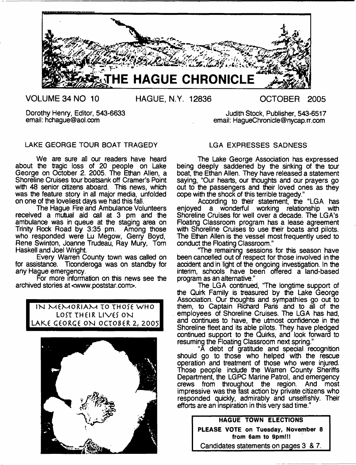

**VOLUME 34 NO 10 HAGUE, N.Y. 12836 OCTOBER 2005**

Dorothy Henry, Editor, 543-6633 Judith Stock, Publisher, 543-6517<br>email: hchague@aol.com email: HaqueChronicle@nycap.rr.com

## LAKE GEORGE TOUR BOAT TRAGEDY

We are sure all our readers have heard about the tragic loss of 20 people on Lake George on October 2. 2005. The Ethan Allen, a Shoreline Cruises tour boatsank off Cramer's Point with 48 senior citizens aboard. This news, which was the feature story in all major media, unfolded on one of the loveliest days we had this fall.

The Hague Fire and Ambulance Volunteers received a mutual aid call at 3 pm and the ambulance was in queue at the staging area on Trinity Rock Road by 3:35 pm. Among those who responded were Lu Megow, Gerry Boyd, Rene Swinton, Joanne Trudeau, Ray Mury, Tom Haskell and Joel Wright.

Every Warren County town was called on for assistance. Ticonderoga was on standby for any Hague emergency.

For more information on this news see the archived stories at <[www.poststar.com>](http://www.poststar.com).

> IN MEMORIAM TO THOSE WHO LOST THEIR LIVES ON LAKE GEORGE ON OCTOBER 2, 2005



## LGA EXPRESSES SADNESS

email: HaqueChronicle@nycap.rr.com

The Lake George Association has expressed being deeply saddened by the sinking of the tour boat, the Ethan Allen. They have released a statement saying, "Our hearts, our thoughts and our prayers go out to the passengers and their loved ones as they cope with the shock of this terrible tragedy."

According to their statement, the "LGA has enjoyed a wonderful working relationship with Shoreline Cruises for well over a decade. The LGA's Roating Classroom program has a lease agreement with Shoreline Cruises to use their boats and pilots. The Ethan Allen is the vessel most frequently used to conduct the Floating Classroom."

'The remaining sessions for this season have been cancelled out of respect for those involved in the accident and in light of the ongoing investigation. In the interim, schools have been offered a land-based program as an alternative."

The LGA continued, "The longtime support of the Quirk Family is treasured by the Lake George Association. Our thoughts and sympathies go out to them, to Captain Richard Paris and to all of the employees of Shoreline Cruises. The LGA has had, and continues to have, the utmost confidence in the Shoreline fleet and its able pilots. They have pledged continued support to the Quirks, and look forward to resuming the Floating Classroom next spring."

"A debt of gratitude and special recognition should go to those who helped with the rescue operation and treatment of those who were injured. Those people include the Warren County Sheriffs Department, the LGPC Marine Patrol, and emergency crews from throughout the region. And most impressive was the fast action by private citizens who responded quickly, admirably and unselfishly. Their efforts are an inspiration in this very sad time."

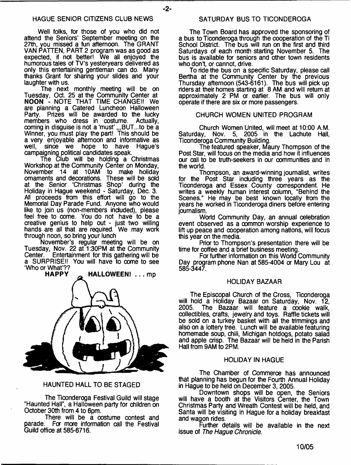### HAGUE SENIOR CITIZENS CLUB NEWS

Well folks, for those of you who did not attend the Seniors' September meeting on the 27th, you missed a fun afternoon. The GRANT VAN PATTEN, PART 2 program was as good as expected, if not better! We all enjoyed the humorous tales of TV's yesteryears delivered as only this entertaining gentleman can do. Many thanks Grant for sharing your slides and your laughter with us.

The next monthly meeting will be on Tuesday, Oct. 25 at the Community Center at **NOON** - NOTE THAT TIME CHANGE!! We are planning a Catered Luncheon Halloween Party. Prizes will be awarded to the lucky members who dress in costume. Actually, coming in disguise is not a 'must' ,, BUT...to be a Winner, you must play the part! This should be a very enjoyable afternoon and informative as<br>well. since we hope to have Haque's since we hope to have Hague's campaigning political candidates speak.

The Club will be holding a Christmas Workshop at the Community Center on Monday,<br>November 14 at 10AM to make holiday 14 at 10AM to make holiday ornaments and decorations. These will be sold at the Senior 'Christmas Shop' during the Holiday in Hague weekend - Saturday, Dec. 3. All proceeds from this effort will go to the Memorial Day Parade Fund. Anyone who would like to join us (non-members included), please feel free to come. You do not have to be a creative genius to help out - just two willing hands are all that are required. We may work through noon, so bring your lunch

November's regular meeting will be on Tuesday, Nov. 22 at 1:30PM at the Community<br>Center. Entertainment for this gathering will be Entertainment for this gathering will be a SURPRISE!! You will have to come to see 'Who or What'??



### HAUNTED HALL TO BE STAGED

The Ticonderoga Festival Guild will stage "Haunted Hall", a Halloween party for children on October 30th from 4 to 6pm.

There will be a costume contest and parade. For more information call the Festival Guild office at 585-6716.

### SATURDAY BUS TO TICONDEROGA

The Town Board has approved the sponsoring of a bus to Ticonderoga through the cooperation of the Ti School District. The bus will run on the first and third Saturdays of each month starting November 5. The bus is available for seniors and other town residents who don't, or cannot, drive.

To ride the bus on a specific Saturday, please call Bertha at the Community Center by the previous Thursday afternoon (543-6161). The bus will pick up riders at their homes starting at 8 AM and will return at approximately 2 PM or earlier. The bus will only operate if there are six or more passengers.

### CHURCH WOMEN UNITED PROGRAM

Church Women United, will meet at 10:00 A.M. Saturday, Nov. 5, 2005 in the Lachute Hall, Ticonderoga Community Building.

The featured speaker, Maury Thompson of the Post Star, will focus on the media and how it influences our call to be truth-seekers in our communities and in the world.

Thompson, an award-winning journalist, writes for the Post Star including three years as the Ticonderoga and Essex County correspondent. He writes a weekly human interest column, "Behind the Scenes." He may be best known locally from the years he worked in Ticonderoga diners before entering journalism.

World Community Day, an annual celebration event observed as a oommon worship experience to lift up peace and cooperation among nations, will focus this year on the media.

Prior to Thompson's presentation there will be time for coffee and a brief business meeting.

For further information on this World Community Day program phone Nan at 585-4004 or Mary Lou at 585-3447.

### HOLIDAY BAZAAR

The Episcopal Church of the Cross, Ticonderoga will hold a Holiday Bazaar on Saturday, Nov. 12, The Bazaar will feature a cookie walk, collectibles, crafts, jewelry and toys. Raffle tickets will be sold on a turkey basket with all the trimmings and also on a lottery tree. Lunch will be available featuring homemade soup, chili, Michigan hotdogs, potato salad and apple crisp. The Bazaar will be held in the Parish Hall from 9AM to 2PM.

### HOLIDAY IN HAGUE

The Chamber of Commerce has announced that planning has begun for the Fourth Annual Holiday in Hague to be held on December 3,2005.

Downtown shops will be open, the Seniors will have a booth at the Visitors Center, the Town Christmas Party and Wreath Contest will be held, and Santa will be visiting in Hague for a holiday breakfast and wagon rides.

Further details will be available in the next issue of *The Hague Chronicle.*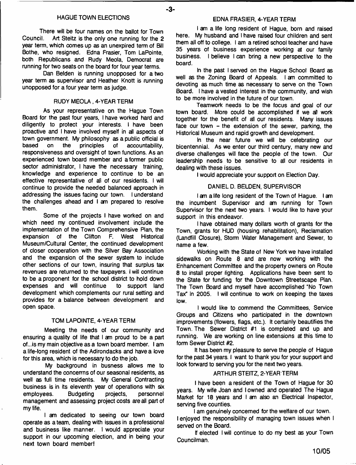### **HAGUE TOWN ELECTIONS**

-3-

There will be four names on the ballot for Town<br>Council. Art Steitz is the only one running for the 2 Art Steitz is the only one running for the 2 **year term, which comes up as an unexpired term of Bill Bothe, who resigned. Edna Frasier, Tom LaPointe, both Republicans and Rudy Meola, Democrat are running for two seats on the board for four year terms.**

**Dan Belden is running unopposed for a two year term as supervisor and Heather Knott is running unopposed for a four year term as judge.**

### **RUDY MEOLA , 4-YEAR TERM**

**As your representative on the Hague Town Board for the past four years, I have worked hard and diligently to protect your interests. I have been proactive and I have involved myself in all aspects of town government. My philosophy as a public official is** of accountability, **responsiveness and oversight of town functions. As an experienced town board member and a former public sector administrator, I have the necessary training, knowledge and experience to continue to be an effective representative of all of our residents. I will continue to provide the needed balanced approach in addressing the issues facing our town. I understand the challenges ahead and I am prepared to resolve them.**

**Some of the projects I have worked on and which need my continued involvement include the implementation of the Town Comprehensive Plan, the expansion of the Clifton F. West Historical Museum/Cultural Center, the continued development of closer cooperation with the Silver Bay Association and the expansion of the sewer system to include other sections of our town, insuring that surplus tax revenues are returned to the taxpayers. I will continue to be a proponent for the school district to hold down** expenses and will continue **development which complements our rural setting and provides for a balance between development and open space.**

### **TOM LAPOINTE, 4-YEAR TERM**

**Meeting the needs of our community and ensuring a quality of life that I am proud to be a part of...is my main objective as a town board member. I am a life-long resident of the Adirondacks and have a love for this area, which is necessary to do the job.**

**My background in busness allows me to understand the concerrns of our seasonal residents, as well as full time residents. My General Contracting business is in its eleventh year of operations with six employees. Budgeting projects, personnel management and assessing project costs are all part of my life.**

**I am dedicated to seeing our town board operate as a team, dealing with issues in a professional and business like manner. I would appreciate your support in our upcoming election, and in being your next town board member!**

**I am a life long resident of Hague, born and raised here. My husband and I have raised four children and sent them all off to college. I am a retired school teacher and have 35 years of business experience working at our family business. I believe I can bring a new perspective to the board.**

**In the past I served on the Hague School Board as well as the Zoning Board of Appeals. I am committed to** devoting as much time as necessary to serve on the Town **Board. I have a vested interest in the community, and wish to be more involved in the future of our town.**

**Teamwork needs to be the focus and goal of our town board. More could be accomplished if we all work together for the benefit of all our residents. Many issues face our town - the extension of the sewer, parking, the Historical Museum and rapid growth and development.**

**In the near future we will be celebrating our bicentennial. As we enter our third century, many new and diverse challenges will face the people of the town. Our leadership needs to be sensitive to all our residents in dealing with these issues.**

**I would appreciate your support on Election Day.**

### **DANIEL D. BELDEN, SUPERVISOR**

**I am a life long resident of the Town of Hague. I am the incumbent Supervisor and am running for Town Supervisor for the next two years. I would like to have your support in this endeavor.**

**I have obtained many dollars worth of grants for the Town, grants for HUD (housing rehabilitation), Reclamation (Landfill Closure), Storm Water Management and Sewer, to name a few.**

**Working with the State of New York we have installed sidewalks on Route 8 and are now working with the Enhancement Committee and the property owners on Route 8 to install proper lighting. Applications have been sent to the State for funding for the Downtown Streetscape Plan. The Town Board and myself have accomplished "No Town Tax" in 2005. I will continue to work on keeping the taxes low.**

**I would like to commend the Committees, Service Groups and Citizens who participated in the downtown improvements (flowers, flags, etc.). It certainly beautifies the Town. The Sewer District #1 is completed and up and running. We are working on line extensions at this time to form Sewer District #2.**

**It has been my pleasure to serve the people of Hague for the past 34 years. I want to thank you for your support and look forward to serving you for the next two years.**

### **ARTHUR STEITZ, 2-YEAR TERM**

**I have been a resident of the Town of Hague for 30 years. My wife Joan and I owned and operated The Hague Market for 18 years and I am also an Electrical Inspector, serving five counties.**

**I am genuinely concerned for the welfare of our town. I enjoyed the responsibility of managing town issues when I served on the Board.**

**If elected I will continue to do my best as your Town Councilman.**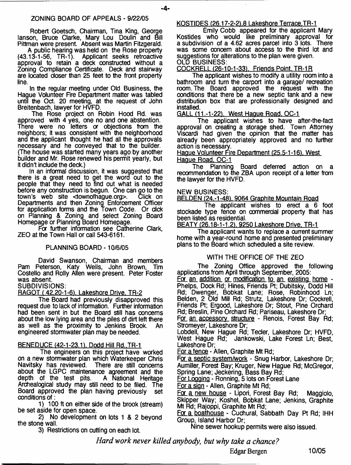Robert Goetsch, Chairman, Tina King, George lanson, Bruce Clarke, Mary Lou Doulin and Bill Pittman were present. Absent was Martin Fitzgerald.

A public hearing was held on the Rose property (43.13-1-56, TR-1). Applicant seeks retroactive approval to retain a deck constructed without a Zoning Compliance Certificate. Deck and stairway are located closer than 25 feet to the front property line.

In the regular meeting under Old Business, the Hague Volunteer Fire Department matter was tabled until the Oct. 20 meeting, at the request of John Breitenbach, lawyer for HVFD.

The Rose project on Robin Hood Rd. was approved with  $\vec{4}$  yes, one no and one abstention. There were no letters or objections from the neighbors; it was consistent with the neighborhood and the applicant thought he had all the approvals necessary and he conveyed that to the builder. (The house was started many years ago by another builder and Mr. Rose renewed his permit yearly, but it didn't include the deck.)

In an informal discussion, it was suggested that there is a great need to get the word out to the people that they need to find out what is needed before any construction is begun. One can go to the<br>town's web site < townofhaque.org>. Click on town's web site <townofhaque.org>. Departments and then Zoning Enforcement Officer for application forms and the Town Code. Or dick on Planning & Zoning and select Zoning Board Homepage or Planning Board Homepage.

For further information see Catherine Clark, ZEO at the Town Hall or call 543-6161.

## PLANNING BOARD -10/6/05

David Swanson, Chairman and members Pam Peterson, Katy Wells, John Brown, Tim Costello and Roily Allen were present. Peter Foster was absent.

## SUBDIVISIONS:

RAGOT *i* 42.20-1-61. Lakeshore Drive. TR-2

The Board had previously disapproved this request due to lack of information. Further information had been sent in but the Board still has concerns about the low lying area and the piles of dirt left there as well as the proximity to Jenkins Brook. engineered stormwater plan may be needed.

## BENEDUCE (42-1-23.1). Dodd Hill Rd..TR-1

The engineers on this project have worked on a new stormwater plan which Waterkeeper Chris Navitsky has reviewed. There are still concerns about the LGPC maintenance agreement and the depth of the test pits. A National Heritage depth of the test pits. Archealogical study may still need to be filed. The Board approved the plan having previously set conditions of:

1) 100 ft on either side of the brook (stream) be set aside for open space.

2) No development on lots 1 & 2 beyond the stone wall.

3) Restrictions on cutting on each lot.

## KOSTIDES (26.17-2-2).8 Lakeshore Terrace.TR-1

Emily Cobb appeared for the applicant Mary Kostides who would like preliminary approval for a subdivision of a 4.62 acres parcel into 3 lots. There was some concern about access to the third lot and suggestions for alterations to the plan were given. OLD BUSINESS:

COCKRELL (26-10-1-33). Friends Point, TR-1R

The applicant wishes to modify a utility room into a bathroom and turn the carport into a garage/ recreation room. The Board approved the request with the conditions that there be a new septic tank and a new distribution box that are professionally designed and installed.

GALL (11.-1-22). West Haque Road. OC-1

The applicant wishes to have after-the-fact approval on creating a storage shed. Town Attorney Viscardi had given the opinion that the matter has already been appropriately approved and no further action is necessary.

### Hague Volunteer Fire Department (25.5-1-16). West Hague Road. OC-1

The Planning Board deferred action on a recommendation to the ZBA upon receipt of a letter from the lawyer for the HVFD.

### NEW BUSINESS:

BELDEN (24.-1-48). 9064 Graphite Mountain Road

The applicant wishes to erect a 6 foot stockade type fence on commercial property that has been listed as residential.

BEATY (26.18-1-1.2), 9250 Lakeshore Drive. TR-1

The applicant wants to replace a current summer home with a year-round home and presented preliminary plans to the Board which scheduled a site review.

## WITH THE OFFICE OF THE ZEO

The Zoning Office approved the following applications from April through September, 2005: For an addition or modification to an existing home - Phelps, Dock Rd; Hines, Friends Pt; Dubitsky, Dodd Hill Rd; Dwenger, Bobkat Lane; Rose, Robinhood Ln; Belden, 2 Old Mill Rd; Strutz, Lakeshore Dr; Cockrell, Friends Pt; Ergood, Lakeshore Dr; Stout, Pine Orchard Rd; Breslin, Pine Orchard Rd; Pariseau, Lakeshore Dr; For an accessory structure - Renois, Forest Bay Rd; Stromeyer, Lakeshore Dr;

Lobdell, New Hague Rd; Tecler, Lakeshore Dr; HVFD, West Hague Rd; Jankowski, Lake Forest Ln; Best, Lakeshore Dr;

For a fence - Allen, Graphite Mt Rd;

For a septic system/work - Snug Harbor, Lakeshore Dr; Aumiller, Forest Bay; Kruger, New Hague Rd; McGregor, Spring Lane; Jeckering, Bass Bay Rd;

For Logging - Ronning, 5 lots on Forest Lane

For a sion - Allen, Graphite Mt Rd;

For, a new house - Lipori, Forest Bay Rd; Maggiolo, Skipper Way; Koshel, Bobkat Lane; Jenkins, Graphite Mt Rd; Rajoppi, Graphite Mt Rd;

For a boathouse - Cuchural, Sabbath Day Pt Rd; IHH Group, Island Harbor Dr;

Nine sewer hookup permits were also issued.

*Hard work never killet nybody, but why take a chance?*

Edgar Bergen 10/05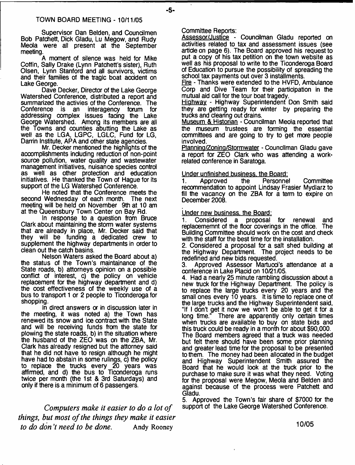Supervisor Dan Belden, and Coundlmen Bob Patchett, Dick Gladu, Lu Megow, and Rudy Meola were all present at the September meeting.

A moment of silence was held for Mike Coffin, Sally Drake (Lynn Patchett's sister), Ruth Olsen, Lynn Stanford and all survivors, victims and their families of the tragic boat accident on Lake George.

Dave Decker, Director of the Lake George Watershed Conference, distributed a report and summarized the activies of the Conference. The Conference is an interagency forum for addressing complex issues facing the Lake George Watershed. Among its members are all the Towns and counties abutting the Lake as well as the LGA, LGPC, LGLC, Fund for LG, Darrin Institute, APA and other state agencies.

Mr. Decker mentioned the highlights of the accomplishments including reduction of non-point source pollution, water quality and wastewater management initiatives, nuisance species control as well as other protection and education initiatives. He thanked the Town of Hague for its support of the LG Watershed Conference.

He noted that the Conference meets the second Wednesday of each month. The next meeting will be held on November 9th at 10 am at the Queensbury Town Center on Bay Rd.

In response to a question from Bruce Clark about maintaining the storm water systems that are already in place, Mr. Decker said that they will be funding a dedicated crew to supplement the highway departments in order to dean out the catch basins.

Nelson Waters asked the Board about a) the status of the Town's maintainance of the State roads, b) attorneys opinion on a possible conflict of interest, c) the policy on vehide replacement for the highway department and d) the cost effectiveness of the weekly use of a bus to transport 1 or 2 people to Ticonderoga for shopping.

In direct answers or in discussion later in the meeting, it was noted a) the Town has renewed its snow and ice contract with the State and will be receiving funds from the state for plowing the state roads, b) in the situation where the husband of the ZEO was on the ZBA, Mr. Clark has already resigned but the attorney said that he did not have to resign although he might have had to abstain in some rulings, c) the policy to replace the trucks every 20 years was affirmed, and d) the bus to Ticonderoga runs twice per month (the 1st & 3rd Saturdays) and only if there is a minimum of 6 passengers.

*Computers make it easier to do a lot of things***,** *but most of the things they make it easier to do don* 7 *need to be done.* Andy Rooney

Committee Reports:

 $-5-$ 

Assessor/Justice - Councilman Gladu reported on activities related to tax and assessment issues (see article on page 6). The Board approved his request to put a copy of his tax petition on the town website as well as his proposal to write to the Ticonderoga Board of Education to pursue the possibility of spreading the school tax payments out over 3 installments.

Fire - Thanks were extended to the HVFD, Ambulance Corp and Dive Team for their participation in the mutual aid call for the tour boat tragedy.

Highway - Highway Superintendent Don Smith said they are getting ready for winter by preparing the trucks and clearing out drains.

Museum & Historian - Councilman Meola reported that the museum trustees are forming the essential committees and are going to try to get more people involved.

Planning/Zoning/Stormwater - Councilman Gladu gave a report for ZEO Clark who was attending a workrelated conference in Saratoga.

# Under unfinished business, the Board:<br>1. Approved the Personne

1. Approved the Personnel Committee recommendation to appoint Lindsay Frasier Mydlarz to fill the vacancy on the ZBA for a term to expire on December 2008.

### Under new business, the Board:

1. Considered a proposal for renewal and replacememnt of the floor coverings in the office. The Building Committee should work on the cost and check with the staff for the best time for the installation.

2. Considered a proposal for a salt shed building at the Highway Department. The project needs to be redefined and new bids requested.

3. Approved Assessor Martucd's attendance at a conference in Lake Placid on 10/21/05.

4. Had a nearly 25 minute rambling discussion about a new truck for the Highway Department. The policy is to replace the large trucks every 20 years and the small ones every 10 years. It is time to replace one of the large trucks and the Highway Superintendent said, "If I don't get it now we won't be able to get it for a long time." There are apparently only certain times There are apparently only certain times when trucks are available to buy on state bids and this truck could be ready in a month for about \$90,000. The Board members agreed that a truck was needed but felt there should have been some prior planning and greater lead time for the proposal to be presented to them. The money had been allocated in the budget and Highway Superintendent Smith assured the Board that he would look at the truck prior to the purchase to make sure it was what they need. Voting for the proposal were Megow, Meola and Belden and against because of the process were Patchett and Gladu.

5. Approved the Town's fair share of \$7000 for the support of the Lake George Watershed Conference.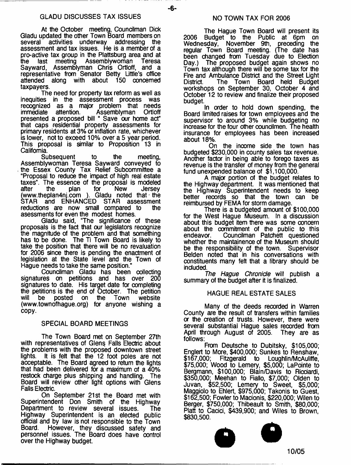-6-

At the October meeting, Councilman Dick Gladu updated the other Town Board members on several activities underway addressing the assessment and tax issues. He is a member of a pro-active tax group in the Plattsburg area and at<br>the last meeting Assemblywoman Teresa the last meeting Assemblywoman<br>Sayward, Assemblyman Chris Ortloff, Assemblyman Chris Ortloff, and a representative from Senator Betty Little's office attended along with about 150 concerned taxpayers.

The need for property tax reform as well as inequities in the assessment process was recognized as a major problem that needs immediate attention. Assemblyman Ortloff presented a proposed bill " Save our home act" that caps residential property assessments for primary residents at 3% or inflation rate, whichever is lower, not to exceed 10% over a 5 year period. This proposal is similar to Proposition 13 in California.

Subsequent to the meeting, Assemblywoman Teresa Sayward conveyed to the Essex County Tax Relief Subcommittee a "Proposal to reduoe the impact of high real estate taxes". The essence of the proposal is modeled after the plan for New Jersey [\(www.theplan4nj.com](http://www.theplan4nj.com) ). Gladu noted that - the STAR and ENHANCED STAR assessment reductions are now small compared to the asessments for even the modest homes.

Gladu said, "The significance of these proposals is the fact that our legislators recognize the magnitude of the problem and that something has to be done. The Ti Town Board is likely to take the position that there will be no revaluation for 2006 since there is pending the enactment of legislation at the State level and the Town of Hague needs to take the same position."

Councilman Gladu has been collecting signatures on petitions and has over 200 signatures to date. His target date for completing the petitions is the end of October. The petition<br>will be posted on the Town website website. [\(www.townofhague.org](http://www.townofhague.org)) for anyone wishing a copy.

## SPECIAL BOARD MEETINGS

The Town Board met on September 27th with representatives of Glens Falls Electric about the problems with the proposed downtown street lights. It is felt that the 12 foot poles are not acceptable. The Board agreed to return the lights that had been delivered for a maximum of a 40% restock charge plus shipping and handling. The Board will review other light options with Glens Falls Electric.

On September 21st the Board met with Superintendent Don Smith of the Highway Department to review several issues. The Highway Superintendent is an elected public official and by law is not responsible to the Town Board. However, they discussed safety and personnel issues. The Board does have control over the Highway budget.

The Hague Town Board will present its 2006 Budget to the Public at 6pm on Wednesday, November 9th, preceding the regular Town Board meeting. (The date has been changed from Tuesday due to Election Day.) The proposed budget again shows no Town tax although there will be some tax for the Fire and Ambulance District and the Street Light<br>District. The Town Board held Budget The Town Board held Budget workshops on September 30, October 4 and October 12 to review and finalize their proposed budget.

In order to hold down spending, the Board limited raises for town employees and the supervisor to around 3% while budgeting no increase for the four other coundlmen. The health insurance for employees has been increased about 18%.

On the income side the town has budgeted \$230,000 in county sales tax revenue. Another factor in being able to forego taxes as revenue is the transfer of money from the general fund unexpended balance of \$1,100,000.

A major portion of the budget relates to the Highway department. It was mentioned that the Highway Superintendent needs to keep<br>better records so that the town can be better records so that the town can reimbursed by FEMA for storm damage.

There is a budgeted amount of \$100,000 for the West Hague Museum. In a discussion about this budget item there was some concern about the commitment of the public to this endeavor. Councilman Patchett questioned whether the maintainence of the Museum should be the responsibility of the town. Supervisor Belden noted that in his conversations with constituents many felt that a library should be included.

*The Hague Chronicle* will publish a summary of the budget after it is finalized.

## HAGUE REAL ESTATE SALES

Many of the deeds recorded in Warren County are the result of transfers within families *or* the creation of trusts. However, there were several substantial Hague sales recorded from<br>April through August of 2005. They are as April through August of 2005. follows:

From Deutsche to Dubitsky, \$105,000; Englert to More, \$400,000; Sunkes to Renshaw, \$167,000; Fitzgerald to Loughlin/McAuliffe, \$75,000; Wood to Lemery, \$5,000; LaPointe to Bergmann, \$100,000; Blain/Davis to Ricdardi, \$350,000' Meehan to Fiallo, \$7,000; Olden to Juvan, \$52,500; Lemery to Sweet, \$5,000; Maggiolo to Ehlert, \$975,000; Takonis to Guest, \$162,500; Fowler to Madonis, \$220,000; Wilen to Berger, \$750,000; Thibeault to Smith, \$80,000; Platt to Cacid, \$439,900; and Wiles to Brown, \$830,500.



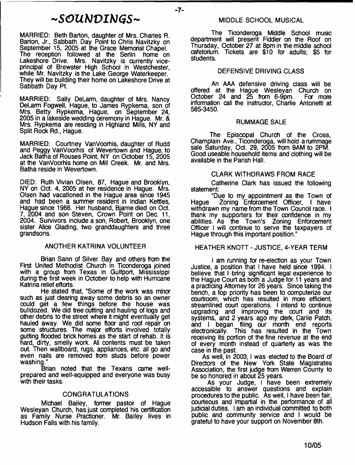## <sup>~</sup> *SGUbJVIbJGS*<sup>~</sup>

-7-

MARRIED: Beth Barton, daughter of Mrs. Charles R. Barton, Jr., Sabbath Day Point to Chris Navitzky on September 15, 2005 at the Grace Memorial Chapel. The reception followed at the Serlin home on Lakeshore Drive. Mrs. Navitzky is currently viceprincipal of Brewster High School in Westchester, while Mr. Navitzky is the Lake George Waterkeeper. They will be building their home on Lakeshore Drive at Sabbath Day Pt.

MARRIED: Sally DeLarm, daughter of Mrs. Nancy DeLanm Fogwell, Hague, to James Rypkema, son of Mrs. Betty Rypkema, Hague, on September 24, 2005 in a lakeside wedding ceremony in Hague. Mr. & Mrs. Rypkema are residing in Highland Mills, NY and Split Rock Rd., Hague.

MARRIED: Courtney VanVoorhis, daughter of Rudd and Peggy VanVoorhis of Wevertown and Hague, to Jack Batha of Rouses Point, NY on October 15, 2005 at the VanVoorhis home on Mill Creek. Mr. and Mrs. Batha reside in Wevertown.

DIED: Ruth Vivian Olsen, 87, Hague and Brooklyn, NY on Oct. 4, 2005 at her residence in Hague. Mrs. Olsen had vacationed in the Hague area since 1945 and had been a summer resident in Indian Kettles, Hague since 1966. Her husband, Bjarne died on Oct. 7, 2004 and son Steven, Crown Point on Dec. 11, 2004. Survivors indude a son, Robert, Brooklyn, one sister Alice Glading, two granddaughters and three grandsons.

## ANOTHER KATRINA VOLUNTEER

Brian Sann of Silver Bay and others from the First United Methodist Church in Ticonderoga joined with a group from Texas in Gulfport, Mississippi during the first week in October to help with Hurricane Katrina relief efforts.

He stated that, "Some of the work was minor such as just dearing away some debris so an owner could get a few things before the house was bulldozed. We did tree cutting and hauling of logs and other debris to the street where it might eventually get hauled away. We did some floor and roof repair on some structures. The major efforts involved totally gutting flooded brick homes as the start of rehab. It is hard, dirty, smelly work. All contents must be taken out. Then wallboard, rugs, appliances, etc. all go and even nails are removed from studs before power washing."

Brian noted that the Texans came wellprepared and well-equipped and everyone was busy with their tasks.

## CONGRATULATIONS

Michael Bailey, former pastor of Hague Wesleyan Church, has just completed his certification as Family Nurse Practioner. Mr. Bailey lives in Hudson Falls with his family.

### MIDDLE SCHOOL MUSICAL

The Ticonderoga Middle School music department will present Fiddler on the Roof on Thursday, October 27 at 8pm in the middle school cafetorium. Tickets are \$10 for adults; \$5 for students.

### DEFENSIVE DRIVING CLASS

An AAA defensive driving class will be offered at the Hague Wesleyan Church on<br>October 24 and 25 from 6-9pm. For more October 24 and  $\tilde{25}$  from 6-9pm. information call the instructor, Charlie Antonetti at 585-3450.

### RUMMAGE SALE

The Episcopal Church of the Cross, Champlain Ave., Ticonderoga, will hold a rummage sale Saturday, Oct. 29, 2005 from 9AM to 2PM. Good useable household items and clothing will be available in the Parish Hall.

### CLARK WITHDRAWS FROM RACE

Catherine Clark has issued the following statement:

"Due to my appointment as the Town of Hague Zoning Enforcement Officer, I have withdrawn my name from the Town Council race. I thank my supporters for their confidence in my abilities. As the Town's Zoning Enforcement Officer I will continue to serve the taxpayers of Hague through this important position."

## HEATHER KNOTT - JUSTICE, 4-YEAR TERM

I am running for re-election as your Town Justice, a position that I have held since 1994. I believe that I bring significant legal experience to the Hague Court as both a Judge for 11 years and a practicing Attorney for 26 years. Since taking the bench, a top priority has been to computerize our courtroom, which has resulted in more efficient, streamlined court operations. I intend to continue upgrading and improving the court and its systems, and 2 years ago my clerk, Carlie Patch, and I began filing our month end reports electronically. This has resulted in the Town receiving its portion of the fine revenue at the end of every month instead of quarterly as was the case in the past.

As well, in 2003, I was elected to the Board of Directors of the New York State Magistrates Association, the first judge from Warren County to be so honored in about 25 years.

As your Judge, I have been extremely accessible to answer questions and explain procedures to the public. As well, I have been fair, courteous and impartial in the performance of all judicial duties. I am an individual committed to both public and community service and I would be grateful to have your support on November 8th.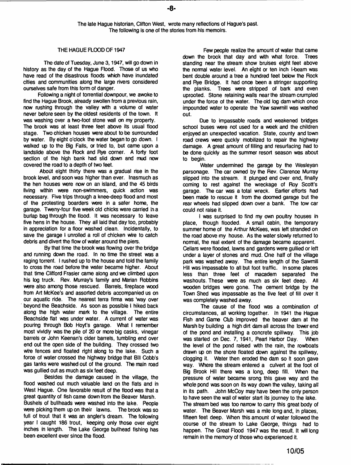## THE HAGUE FLOOD OF 1947

The date of Tuesday, June 3,1947, will go down in history as the day of the Hague Flood. Those of us who have read of the disastrous floods which have inundated cities and communities along the large rivers considered ourselves safe from this form of danger.

Following a night of torrential downpour, we awoke to find the Hague Brook, already swollen from a previous rain, now rushing through the valley with a volume of water never before seen by the oldest residents of the town. It was washing over a two-foot stone wall on my property. The brook was at least three feet above its usual flood stage. Two chicken houses were about to be surrounded by water. By eight o'clock the water began to go down. I walked up to the Big Falls, or tried to, but came upon a landslide above the Rock and Rye corner. A forty foot section of the high bank had slid down and mud now covered the road to a depth of two feet.

About eight thirty there was a gradual rise in the brook level, and soon was higher than ever. Inasmuch as the hen houses were now on an island, and the 45 birds living within were non-swimmers, quick action was necessary. Five trips through a knee-deep flood and most of the protesting boarders were in a safer home, the garage. Tweny-four five week old chicks were carried in a burlap bag through the flood. It was necessary to leave five hens in the house. They all laid that day too, probably in appreciation for a floor washed clean. Incidentally, to save the garage I unrolled a roll of chicken wire to catch debris and divert the flow of water around the piers.

By that time the brook was flowing over the bridge and running down the road. In no time the street was a raging torrent. I rushed up to the house and told the family to cross the road before the water became higher. About that time Clifford Frasier came along and we climbed upon his log truck. Rev. Murray's family and Marian Robbins were also among those rescued. Barrels, fireplace wood from Art McKee's and assorted debris accompanied us on our aquatic ride. The nearest terra firma was 'way over beyond the Beachside. As soon as possible I hiked back along the high water mark to the village. The entire Beachside flat was under water. A current of water was pouring through Bob Hoyt's garage. What I remember most vividly was the pile of 20 or more big casks, vinegar barrels or John Keenan's cider barrels, tumbling end over end out the open side of the building. They crossed two wire fences and floated right along to the lake. Such a force of water crossed the highway bridge that Bill Cobb's gas tanks were washed out of the ground. The main road was guliied out as much as six feet deep.

Besides the damage caused in the village, the flood washed out much valuable land on the flats and in West Hague. One favorable result of the flood was that a great quantity of fish came down from the Beaver Marsh. Bushels of bullheads were washed into the lake. People were picking them up on their lawns. The brook was so full of trout that it was an angler's dream. The following year I caught 186 trout, keeping only those over eight inches in length. The Lake George bullhead fishing has been excellent ever since the flood.

Few people realize the amount of water that came down the brook that day and with what force. Trees standing near the stream show bruises eight feet above the normal water level. An eight or ten inch l-beam was bent double around a tree a hundred feet below the Rock and Rye Bridge. It had once been a stringer supporting the planks. Trees were stripped of bark and even uprooted. Stone retaining walls near the stream crumpled under the force of the water. The old log dam which once impounded water to operate the Yaw sawmill was washed out.

Due to impassable roads and weakened bridges school buses were not used for a week and the children enjoyed an unexpected vacation. State, county and town road crews were quckly mobilized to repair the highway damage. A great amount of filling and resurfacing had to be done quickly as the summer resort season was about to begin.

Water undermined the garage by the Wesleyan parsonage. The car owned by the Rev. Clarence Murray slipped into the stream. It plunged end over end, finally coming to rest against the wreckage of Roy Scott's garage. The car was a total wreck. Earlier efforts had been made to rescue it from the doomed garage but the rear wheels had slipped down over a bank. The tow car couid not raise it.

I was surprised to find my own poultry houses in place, though flooded. A small cabin, the temporary summer home of the Arthur McKees, was left stranded on the road above my house. As the water slowly returned to normal, the real extent of the damage became apparent. Cellars were flooded, lawns and gardens were gullied or left under a layer of stones and mud. One half of the village park was washed away. The entire length of the Sawmill Hill was impassable to all but foot traffic. In some places less than three feet of macadem separated the washouts. These were as much as six feet deep. All wooden bridges were gone. The cement bridge by the Town Shed was impassable as the five feet of fill over it was completely washed away.

The cause of the flood was a combination of circumstances, all working together. In 1941 the Hague Fish and Game Club improved the beaver dam at the Marsh by building a high dirt dam all across the lower end of the pond and installing a concrete spillway. This job was started on Dec. 7, 1941, Pearl Harbor Day. When the level of the pond raised with the rain, the rowboats drawn up on the shore floated down against the spillway, clogging it. Water then eroded the dam so it soon gave way. Where the stream entered a culvert at the foot of Big Brook Hill there was a long, deep fill. When the pressure of water became srong this gave way and the whole pond was soon on its way down the valley, taking all in its path. John McCoy may have been the only person to have seen the wall of water start its journey to the lake. The stream bed was too narrow to carry this great body of water. The Beaver Marsh was a mile long and, in places, fifteen feet deep. When this amount of water followed the course of the stream to Lake George, things had to happen. The Great Flood 1947 was the result. It will long remain in the memory of those who experienced it.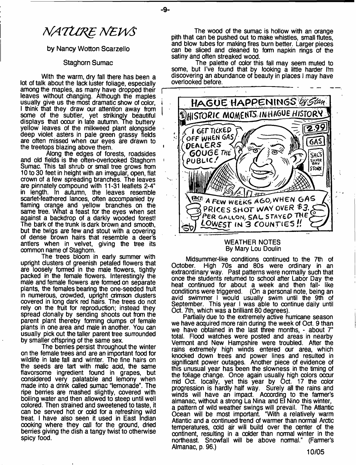$\mathbf{I}$ 

# *MATURE NEWS*

### by Nancy Wotton Scarzello

### Staghorn Sumac

With the warm, dry fall there has been a lot of talk about the lack luster foliage, especially among the maples, as many have dropped their leaves without changing. Although the maples usually give us the most dramatic show of color, i I think that they draw our attention away from some of the subtler, yet strikingly beautiful displays that occur in late autumn. The buttery yellow leaves of the milkweed plant alongside deep violet asters in pale green grassy fields are often missed when our eyes are drawn to the treetops blazing above them.

Along the edges of forests, roadsides and old fields is the often-overlooked Staghorn Sumac. This tall shrub or small tree grows from 10 to 30 feet in height with an irregular, open, flat crown of a few spreading branches. The leaves are pinnately compound with 11-31 leaflets 2-4" in length. In autumn, the leaves resemble scarlet-feathered lances, often accompanied by flaming orange and yellow branches on the same tree. What a feast for the eyes when set against a backdrop of a darkly wooded forest! The bark of the trunk is dark brown and smooth, but the twigs are few and stout with a covering of dense brown hairs that resemble a deer's antlers when in velvet, giving the tree its common name of Staghorn.

The trees bloom in early summer with upright clusters of greenish petaled flowers that are loosely formed in the male flowers, tightly packed in the female flowers. Interestingly the male and female flowers are formed on separate plants, the females bearing the one-seeded fruit in numerous, crowded, upright crimson clusters covered in long dark red hairs. The trees do not rely on the fruit for reproduction; instead they spread clonally by sending shoots out from the parent plant thereby forming clumps of female plants in one area and male in another. You can usually pick out the taller parent tree surrounded by smaller offspring of the same sex.

The berries persist throughout the winter on the female trees and are an important food for wildlife in late fail and winter. The fine hairs on the seeds are tart with malic add, the same flavorsome ingredient found in grapes, but considered very palatable and lemony when made into a drink called sumac "lemonade". The ripe berries are mashed slightly, covered with boiling water and then allowed to steep until well colored. Then strained and sweetened to taste, it can be served hot or cold for a refreshing wild treat. I have also seen it used in East Indian cooking where they call for the ground, dried berries giving the dish a tangy twist to otherwise spicy food.

The wood of the sumac is hollow with an orange pith that can be pushed out to make whistles, small flutes, and blow tubes for making fires burn better. Larger pieces can be sliced and cleaned to form napkin rings of the satiny and often streaked wood.

The palette of color this fall may seem muted to some, but I've found that by looking a little harder I'm discovering an abundance of beauty in places I may have overlooked before.



### WEATHER NOTES By Mary Lou Doulin

Midsummer-like conditions continued to the 7th of<br>October, High 70s and 80s were ordinary in an High 70s and 80s were ordinary in an extraordinary way. Past patterns were normally such that once the students returned to school after Labor Day the heat continued for about a week and then fall- like conditions were triggered. (On a personal note, being an avid swimmer I would usually swim until the 9th of September. This year I was able to continue daily until Oct. 7th, which was a brilliant 80 degrees).

Partially due to the extremely active hurricane season we have acquired more rain during the week of Oct. 9 than we have obtained in the last three months, - about 7" total. Flood watches were posted and areas in nearby Vermont and New Hampshire were troubled. After the rains extremely high winds entered our area, which knocked down trees and power lines and resulted in significant power outages. Another piece of evidence of this unusual year has been the slowness in the timing of the foliage change. Once again usually high colors occur mid Oct. locally, yet this year by Oct. 17 the color progression is hardly half way. Surely all the rains and winds will have an impact. According to the farmer's almanac, without a strong La Nina and El Nino this winter, a pattern of wild weather swings will prevail. The Atlantic Ocean will be most important. "With a relatively warm Atlantic and a continued trend of warmer than normal Arctic temperatures, cold air will build over the center of the continent, resulting in a colder than normal winter in the northeast. Snowfall will be above normal." (Farmer's Almanac, p. 99.) **10/05**